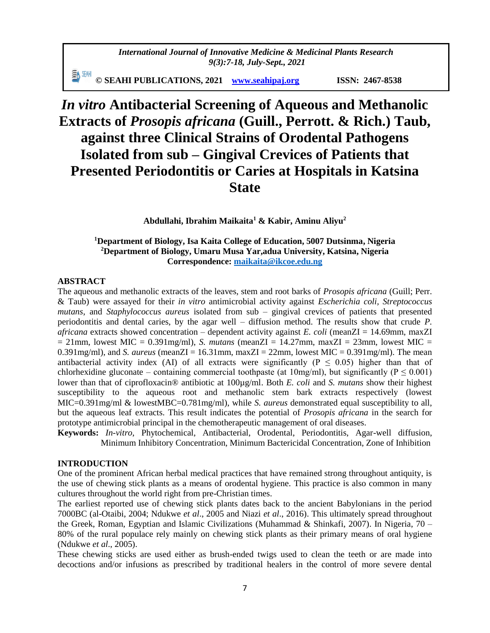*International Journal of Innovative Medicine & Medicinal Plants Research 9(3):7-18, July-Sept., 2021*

動細 **© SEAHI PUBLICATIONS, 2021 [www.seahipaj.org](http://www.seahipaj.org/) ISSN: 2467-8538**

# *In vitro* **Antibacterial Screening of Aqueous and Methanolic Extracts of** *Prosopis africana* **(Guill., Perrott. & Rich.) Taub, against three Clinical Strains of Orodental Pathogens Isolated from sub – Gingival Crevices of Patients that Presented Periodontitis or Caries at Hospitals in Katsina State**

**Abdullahi, Ibrahim Maikaita<sup>1</sup> & Kabir, Aminu Aliyu<sup>2</sup>**

# **<sup>1</sup>Department of Biology, Isa Kaita College of Education, 5007 Dutsinma, Nigeria <sup>2</sup>Department of Biology, Umaru Musa Yar,adua University, Katsina, Nigeria Correspondence: [maikaita@ikcoe.edu.ng](mailto:maikaita@ikcoe.edu.ng)**

# **ABSTRACT**

The aqueous and methanolic extracts of the leaves, stem and root barks of *Prosopis africana* (Guill; Perr. & Taub) were assayed for their *in vitro* antimicrobial activity against *Escherichia coli, Streptococcus mutans*, and *Staphylococcus aureus* isolated from sub – gingival crevices of patients that presented periodontitis and dental caries, by the agar well – diffusion method. The results show that crude *P. africana* extracts showed concentration – dependent activity against *E. coli* (meanZI = 14.69mm, maxZI  $= 21$ mm, lowest MIC = 0.391mg/ml), *S. mutans* (meanZI = 14.27mm, maxZI = 23mm, lowest MIC = 0.391mg/ml), and *S. aureus* (mean $ZI = 16.31$ mm, max $ZI = 22$ mm, lowest MIC = 0.391mg/ml). The mean antibacterial activity index (AI) of all extracts were significantly ( $P \le 0.05$ ) higher than that of chlorhexidine gluconate – containing commercial toothpaste (at  $10mg/ml$ ), but significantly (P  $\leq 0.001$ ) lower than that of ciprofloxacin® antibiotic at 100µg/ml. Both *E. coli* and *S. mutans* show their highest susceptibility to the aqueous root and methanolic stem bark extracts respectively (lowest MIC=0.391mg/ml & lowestMBC=0.781mg/ml), while *S. aureus* demonstrated equal susceptibility to all, but the aqueous leaf extracts. This result indicates the potential of *Prosopis africana* in the search for prototype antimicrobial principal in the chemotherapeutic management of oral diseases.

**Keywords:** *In-vitro*, Phytochemical, Antibacterial, Orodental, Periodontitis, Agar-well diffusion, Minimum Inhibitory Concentration, Minimum Bactericidal Concentration, Zone of Inhibition

# **INTRODUCTION**

One of the prominent African herbal medical practices that have remained strong throughout antiquity, is the use of chewing stick plants as a means of orodental hygiene. This practice is also common in many cultures throughout the world right from pre-Christian times.

The earliest reported use of chewing stick plants dates back to the ancient Babylonians in the period 7000BC (al-Otaibi, 2004; Ndukwe *et al*., 2005 and Niazi *et al*., 2016). This ultimately spread throughout the Greek, Roman, Egyptian and Islamic Civilizations (Muhammad & Shinkafi, 2007). In Nigeria, 70 – 80% of the rural populace rely mainly on chewing stick plants as their primary means of oral hygiene (Ndukwe *et al*., 2005).

These chewing sticks are used either as brush-ended twigs used to clean the teeth or are made into decoctions and/or infusions as prescribed by traditional healers in the control of more severe dental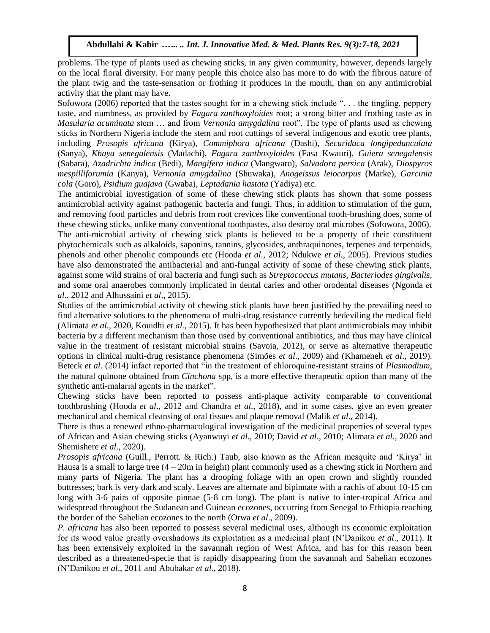problems. The type of plants used as chewing sticks, in any given community, however, depends largely on the local floral diversity. For many people this choice also has more to do with the fibrous nature of the plant twig and the taste-sensation or frothing it produces in the mouth, than on any antimicrobial activity that the plant may have.

Sofowora (2006) reported that the tastes sought for in a chewing stick include ". . . the tingling, peppery taste, and numbness, as provided by *Fagara zanthoxyloides* root; a strong bitter and frothing taste as in *Masularia acuminata* stem … and from *Vernonia amygdalina* root". The type of plants used as chewing sticks in Northern Nigeria include the stem and root cuttings of several indigenous and exotic tree plants, including *Prosopis africana* (Kirya)*, Commiphora africana* (Dashi)*, Securidaca longipedunculata*  (Sanya)*, Khaya senegalensis* (Madachi)*, Fagara zanthoxyloides* (Fasa Kwauri)*, Guiera senegalensis* (Sabara)*, Azadrichta indica* (Bedi)*, Mangifera indica* (Mangwaro)*, Salvadora persica* (Arak)*, Diospyros mespilliforumia* (Kanya)*, Vernonia amygdalina* (Shuwaka)*, Anogeissus leiocarpus* (Marke)*, Garcinia cola* (Goro)*, Psidium guajava* (Gwaba)*, Leptadania hastata* (Yadiya) etc*.*

The antimicrobial investigation of some of these chewing stick plants has shown that some possess antimicrobial activity against pathogenic bacteria and fungi. Thus, in addition to stimulation of the gum, and removing food particles and debris from root crevices like conventional tooth-brushing does, some of these chewing sticks, unlike many conventional toothpastes, also destroy oral microbes (Sofowora, 2006). The anti-microbial activity of chewing stick plants is believed to be a property of their constituent phytochemicals such as alkaloids, saponins, tannins, glycosides, anthraquinones, terpenes and terpenoids, phenols and other phenolic compounds etc (Hooda *et al.,* 2012; Ndukwe *et al.,* 2005). Previous studies have also demonstrated the antibacterial and anti-fungal activity of some of these chewing stick plants, against some wild strains of oral bacteria and fungi such as *Streptococcus mutans, Bacteriodes gingivalis,*  and some oral anaerobes commonly implicated in dental caries and other orodental diseases (Ngonda *et al*., 2012 and Alhussaini *et al*., 2015).

Studies of the antimicrobial activity of chewing stick plants have been justified by the prevailing need to find alternative solutions to the phenomena of multi-drug resistance currently bedeviling the medical field (Alimata *et al.,* 2020, Kouidhi *et al.,* 2015). It has been hypothesized that plant antimicrobials may inhibit bacteria by a different mechanism than those used by conventional antibiotics, and thus may have clinical value in the treatment of resistant microbial strains (Savoia, 2012), or serve as alternative therapeutic options in clinical multi-drug resistance phenomena (Simões *et al*., 2009) and (Khameneh *et al*., 2019). Beteck *et al*. (2014) infact reported that "in the treatment of chloroquine-resistant strains of *Plasmodium*, the natural quinone obtained from *Cinchona* spp, is a more effective therapeutic option than many of the synthetic anti-malarial agents in the market".

Chewing sticks have been reported to possess anti-plaque activity comparable to conventional toothbrushing (Hooda *et al*., 2012 and Chandra *et al*., 2018), and in some cases, give an even greater mechanical and chemical cleansing of oral tissues and plaque removal (Malik *et al*., 2014).

There is thus a renewed ethno-pharmacological investigation of the medicinal properties of several types of African and Asian chewing sticks (Ayanwuyi *et al*., 2010; David *et al*., 2010; Alimata *et al*., 2020 and Shemishere *et al*., 2020).

*Prosopis africana* (Guill., Perrott. & Rich.) Taub*,* also known as the African mesquite and 'Kirya' in Hausa is a small to large tree (4 – 20m in height) plant commonly used as a chewing stick in Northern and many parts of Nigeria. The plant has a drooping foliage with an open crown and slightly rounded buttresses; bark is very dark and scaly. Leaves are alternate and bipinnate with a rachis of about 10-15 cm long with 3-6 pairs of opposite pinnae (5-8 cm long). The plant is native to inter-tropical Africa and widespread throughout the Sudanean and Guinean ecozones, occurring from Senegal to Ethiopia reaching the border of the Sahelian ecozones to the north (Orwa *et al*., 2009).

*P. africana* has also been reported to possess several medicinal uses, although its economic exploitation for its wood value greatly overshadows its exploitation as a medicinal plant (N'Danikou *et al*., 2011). It has been extensively exploited in the savannah region of West Africa, and has for this reason been described as a threatened-specie that is rapidly disappearing from the savannah and Sahelian ecozones (N'Danikou *et al*., 2011 and Abubakar *et al*., 2018).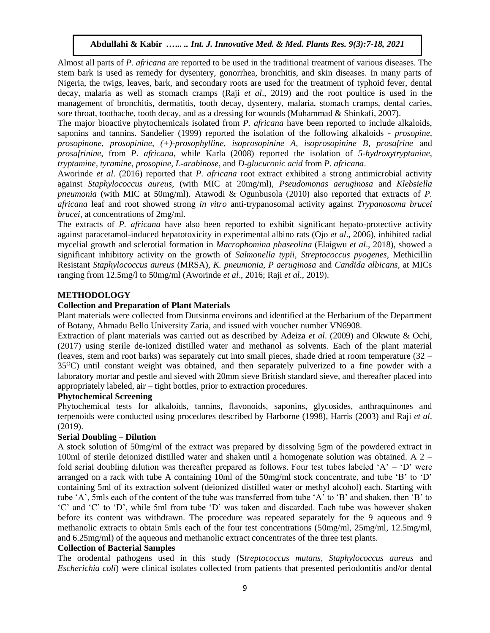Almost all parts of *P. africana* are reported to be used in the traditional treatment of various diseases. The stem bark is used as remedy for dysentery, gonorrhea, bronchitis, and skin diseases. In many parts of Nigeria, the twigs, leaves, bark, and secondary roots are used for the treatment of typhoid fever, dental decay, malaria as well as stomach cramps (Raji *et al*., 2019) and the root poultice is used in the management of bronchitis, dermatitis, tooth decay, dysentery, malaria, stomach cramps, dental caries, sore throat, toothache, tooth decay, and as a dressing for wounds (Muhammad & Shinkafi, 2007).

The major bioactive phytochemicals isolated from *P. africana* have been reported to include alkaloids, saponins and tannins. Sandelier (1999) reported the isolation of the following alkaloids - *prosopine, prosopinone, prosopinine, (+)-prosophylline, isoprosopinine A, isoprosopinine B, prosafrine* and *prosafrinine,* from *P. africana*, while Karla (2008) reported the isolation of *5-hydroxytryptanine, tryptamine, tyramine*, *prosopine, L-arabinose*, and *D-glucuronic acid* from *P. africana*.

Aworinde *et al*. (2016) reported that *P. africana* root extract exhibited a strong antimicrobial activity against *Staphylococcus aureus,* (with MIC at 20mg/ml), *Pseudomonas aeruginosa* and *Klebsiella pneumonia* (with MIC at 50mg/ml). Atawodi & Ogunbusola (2010) also reported that extracts of *P. africana* leaf and root showed strong *in vitro* anti-trypanosomal activity against *Trypanosoma brucei brucei*, at concentrations of 2mg/ml.

The extracts of *P. africana* have also been reported to exhibit significant hepato-protective activity against paracetamol-induced hepatotoxicity in experimental albino rats (Ojo *et al*., 2006), inhibited radial mycelial growth and sclerotial formation in *Macrophomina phaseolina* (Elaigwu *et al*., 2018), showed a significant inhibitory activity on the growth of *Salmonella typii, Streptococcus pyogenes,* Methicillin Resistant *Staphylococcus aureus* (MRSA)*, K. pneumonia, P aeruginosa* and *Candida albicans,* at MICs ranging from 12.5mg/l to 50mg/ml (Aworinde *et al*., 2016; Raji *et al*., 2019).

# **METHODOLOGY**

# **Collection and Preparation of Plant Materials**

Plant materials were collected from Dutsinma environs and identified at the Herbarium of the Department of Botany, Ahmadu Bello University Zaria, and issued with voucher number VN6908.

Extraction of plant materials was carried out as described by Adeiza *et al*. (2009) and Okwute & Ochi, (2017) using sterile de-ionized distilled water and methanol as solvents. Each of the plant material (leaves, stem and root barks) was separately cut into small pieces, shade dried at room temperature (32 – 35<sup>O</sup>C) until constant weight was obtained, and then separately pulverized to a fine powder with a laboratory mortar and pestle and sieved with 20mm sieve British standard sieve, and thereafter placed into appropriately labeled, air – tight bottles, prior to extraction procedures.

### **Phytochemical Screening**

Phytochemical tests for alkaloids, tannins, flavonoids, saponins, glycosides, anthraquinones and terpenoids were conducted using procedures described by Harborne (1998), Harris (2003) and Raji *et al*. (2019).

# **Serial Doubling – Dilution**

A stock solution of 50mg/ml of the extract was prepared by dissolving 5gm of the powdered extract in 100ml of sterile deionized distilled water and shaken until a homogenate solution was obtained. A 2 – fold serial doubling dilution was thereafter prepared as follows. Four test tubes labeled 'A' – 'D' were arranged on a rack with tube A containing 10ml of the 50mg/ml stock concentrate, and tube 'B' to 'D' containing 5ml of its extraction solvent (deionized distilled water or methyl alcohol) each. Starting with tube 'A', 5mls each of the content of the tube was transferred from tube 'A' to 'B' and shaken, then 'B' to 'C' and 'C' to 'D', while 5ml from tube 'D' was taken and discarded. Each tube was however shaken before its content was withdrawn. The procedure was repeated separately for the 9 aqueous and 9 methanolic extracts to obtain 5mls each of the four test concentrations (50mg/ml, 25mg/ml, 12.5mg/ml, and 6.25mg/ml) of the aqueous and methanolic extract concentrates of the three test plants.

# **Collection of Bacterial Samples**

The orodental pathogens used in this study (S*treptococcus mutans, Staphylococcus aureus* and *Escherichia coli*) were clinical isolates collected from patients that presented periodontitis and/or dental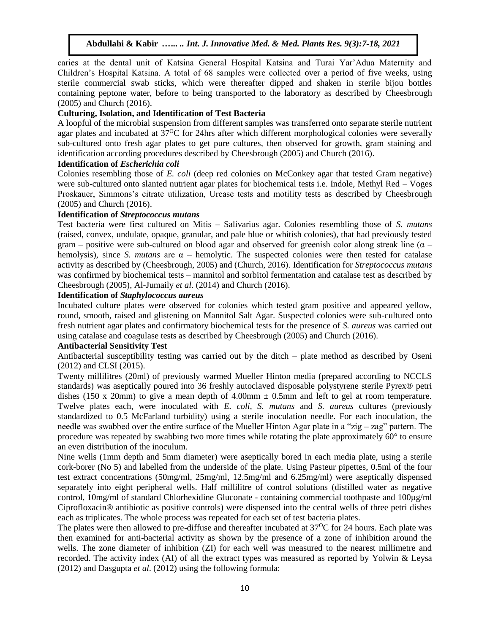caries at the dental unit of Katsina General Hospital Katsina and Turai Yar'Adua Maternity and Children's Hospital Katsina. A total of 68 samples were collected over a period of five weeks, using sterile commercial swab sticks, which were thereafter dipped and shaken in sterile bijou bottles containing peptone water, before to being transported to the laboratory as described by Cheesbrough (2005) and Church (2016).

## **Culturing, Isolation, and Identification of Test Bacteria**

A loopful of the microbial suspension from different samples was transferred onto separate sterile nutrient agar plates and incubated at 37<sup>o</sup>C for 24hrs after which different morphological colonies were severally sub-cultured onto fresh agar plates to get pure cultures, then observed for growth, gram staining and identification according procedures described by Cheesbrough (2005) and Church (2016).

## **Identification of** *Escherichia coli*

Colonies resembling those of *E. coli* (deep red colonies on McConkey agar that tested Gram negative) were sub-cultured onto slanted nutrient agar plates for biochemical tests i.e. Indole, Methyl Red – Voges Proskauer, Simmons's citrate utilization, Urease tests and motility tests as described by Cheesbrough (2005) and Church (2016).

## **Identification of** *Streptococcus mutans*

Test bacteria were first cultured on Mitis – Salivarius agar. Colonies resembling those of *S. mutans* (raised, convex, undulate, opaque, granular, and pale blue or whitish colonies), that had previously tested gram – positive were sub-cultured on blood agar and observed for greenish color along streak line ( $\alpha$  – hemolysis), since *S. mutans* are  $\alpha$  – hemolytic. The suspected colonies were then tested for catalase activity as described by (Cheesbrough, 2005) and (Church, 2016). Identification for *Streptococcus mutans* was confirmed by biochemical tests – mannitol and sorbitol fermentation and catalase test as described by Cheesbrough (2005), Al-Jumaily *et al*. (2014) and Church (2016).

# **Identification of** *Staphylococcus aureus*

Incubated culture plates were observed for colonies which tested gram positive and appeared yellow, round, smooth, raised and glistening on Mannitol Salt Agar. Suspected colonies were sub-cultured onto fresh nutrient agar plates and confirmatory biochemical tests for the presence of *S. aureus* was carried out using catalase and coagulase tests as described by Cheesbrough (2005) and Church (2016).

# **Antibacterial Sensitivity Test**

Antibacterial susceptibility testing was carried out by the ditch – plate method as described by Oseni (2012) and CLSI (2015).

Twenty millilitres (20ml) of previously warmed Mueller Hinton media (prepared according to NCCLS standards) was aseptically poured into 36 freshly autoclaved disposable polystyrene sterile Pyrex® petri dishes (150 x 20mm) to give a mean depth of 4.00mm  $\pm$  0.5mm and left to gel at room temperature. Twelve plates each, were inoculated with *E. coli, S. mutans* and *S. aureus* cultures (previously standardized to 0.5 McFarland turbidity) using a sterile inoculation needle. For each inoculation, the needle was swabbed over the entire surface of the Mueller Hinton Agar plate in a "zig – zag" pattern. The procedure was repeated by swabbing two more times while rotating the plate approximately 60° to ensure an even distribution of the inoculum.

Nine wells (1mm depth and 5mm diameter) were aseptically bored in each media plate, using a sterile cork-borer (No 5) and labelled from the underside of the plate. Using Pasteur pipettes, 0.5ml of the four test extract concentrations (50mg/ml, 25mg/ml, 12.5mg/ml and 6.25mg/ml) were aseptically dispensed separately into eight peripheral wells. Half millilitre of control solutions (distilled water as negative control, 10mg/ml of standard Chlorhexidine Gluconate - containing commercial toothpaste and 100µg/ml Ciprofloxacin® antibiotic as positive controls) were dispensed into the central wells of three petri dishes each as triplicates. The whole process was repeated for each set of test bacteria plates.

The plates were then allowed to pre-diffuse and thereafter incubated at  $37^{\circ}$ C for 24 hours. Each plate was then examined for anti-bacterial activity as shown by the presence of a zone of inhibition around the wells. The zone diameter of inhibition (ZI) for each well was measured to the nearest millimetre and recorded. The activity index (AI) of all the extract types was measured as reported by Yolwin & Leysa (2012) and Dasgupta *et al*. (2012) using the following formula: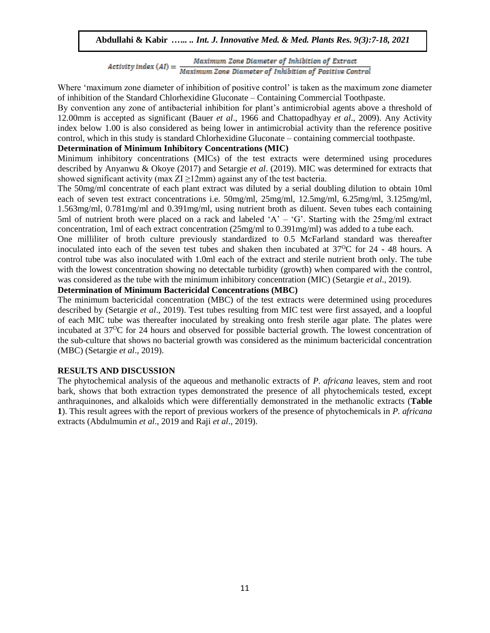Maximum Zone Diameter of Inhibition of Extract  $Activity$  index  $(AI) = \frac{Maximum \, Zone$  Diameter of Inhibition of Extract<br>Maximum Zone Diameter of Inhibition of Positive Control

Where 'maximum zone diameter of inhibition of positive control' is taken as the maximum zone diameter of inhibition of the Standard Chlorhexidine Gluconate – Containing Commercial Toothpaste.

By convention any zone of antibacterial inhibition for plant's antimicrobial agents above a threshold of 12.00mm is accepted as significant (Bauer *et al*., 1966 and Chattopadhyay *et al*., 2009). Any Activity index below 1.00 is also considered as being lower in antimicrobial activity than the reference positive control, which in this study is standard Chlorhexidine Gluconate – containing commercial toothpaste.

# **Determination of Minimum Inhibitory Concentrations (MIC)**

Minimum inhibitory concentrations (MICs) of the test extracts were determined using procedures described by Anyanwu & Okoye (2017) and Setargie *et al*. (2019). MIC was determined for extracts that showed significant activity (max  $ZI \geq 12$ mm) against any of the test bacteria.

The 50mg/ml concentrate of each plant extract was diluted by a serial doubling dilution to obtain 10ml each of seven test extract concentrations i.e. 50mg/ml, 25mg/ml, 12.5mg/ml, 6.25mg/ml, 3.125mg/ml, 1.563mg/ml, 0.781mg/ml and 0.391mg/ml, using nutrient broth as diluent. Seven tubes each containing 5ml of nutrient broth were placed on a rack and labeled 'A' – 'G'. Starting with the  $25mg/ml$  extract concentration, 1ml of each extract concentration (25mg/ml to 0.391mg/ml) was added to a tube each.

One milliliter of broth culture previously standardized to 0.5 McFarland standard was thereafter inoculated into each of the seven test tubes and shaken then incubated at  $37^{\circ}$ C for 24 - 48 hours. A control tube was also inoculated with 1.0ml each of the extract and sterile nutrient broth only. The tube with the lowest concentration showing no detectable turbidity (growth) when compared with the control, was considered as the tube with the minimum inhibitory concentration (MIC) (Setargie *et al*., 2019).

# **Determination of Minimum Bactericidal Concentrations (MBC)**

The minimum bactericidal concentration (MBC) of the test extracts were determined using procedures described by (Setargie *et al*., 2019). Test tubes resulting from MIC test were first assayed, and a loopful of each MIC tube was thereafter inoculated by streaking onto fresh sterile agar plate. The plates were incubated at 37<sup>o</sup>C for 24 hours and observed for possible bacterial growth. The lowest concentration of the sub-culture that shows no bacterial growth was considered as the minimum bactericidal concentration (MBC) (Setargie *et al*., 2019).

#### **RESULTS AND DISCUSSION**

The phytochemical analysis of the aqueous and methanolic extracts of *P. africana* leaves, stem and root bark, shows that both extraction types demonstrated the presence of all phytochemicals tested, except anthraquinones, and alkaloids which were differentially demonstrated in the methanolic extracts (**Table 1**). This result agrees with the report of previous workers of the presence of phytochemicals in *P. africana* extracts (Abdulmumin *et al*., 2019 and Raji *et al*., 2019).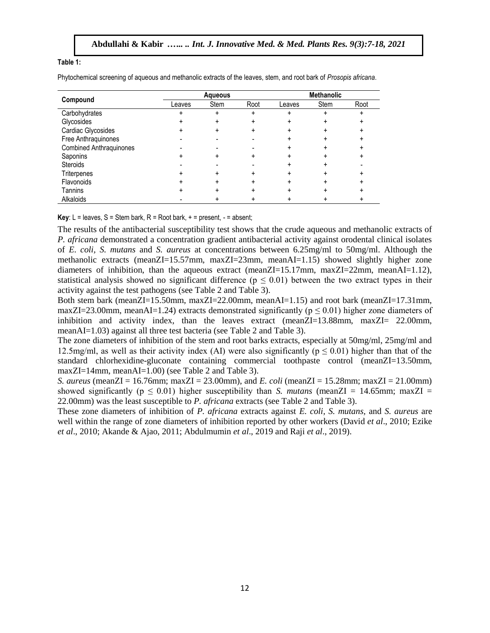#### **Table 1:**

Phytochemical screening of aqueous and methanolic extracts of the leaves, stem, and root bark of *Prosopis africana*.

| Compound                       | Agueous |      |           | <b>Methanolic</b> |      |      |
|--------------------------------|---------|------|-----------|-------------------|------|------|
|                                | Leaves  | Stem | Root      | Leaves            | Stem | Root |
| Carbohydrates                  | +       | +    | $\ddot{}$ |                   |      | ÷    |
| Glycosides                     |         |      | +         |                   |      |      |
| Cardiac Glycosides             |         |      |           |                   |      |      |
| Free Anthraquinones            |         |      |           |                   |      |      |
| <b>Combined Anthraquinones</b> |         |      |           |                   |      |      |
| Saponins                       |         |      |           |                   |      |      |
| <b>Steroids</b>                |         |      |           |                   |      |      |
| Triterpenes                    |         |      |           |                   |      |      |
| Flavonoids                     |         |      |           |                   |      |      |
| Tannins                        |         |      |           |                   |      |      |
| Alkaloids                      |         |      |           |                   |      |      |

**Key**:  $L =$  leaves,  $S =$  Stem bark,  $R =$  Root bark,  $+ =$  present,  $- =$  absent;

The results of the antibacterial susceptibility test shows that the crude aqueous and methanolic extracts of *P. africana* demonstrated a concentration gradient antibacterial activity against orodental clinical isolates of *E. coli, S. mutans* and *S. aureus* at concentrations between 6.25mg/ml to 50mg/ml. Although the methanolic extracts (meanZI=15.57mm, maxZI=23mm, meanAI=1.15) showed slightly higher zone diameters of inhibition, than the aqueous extract (meanZI=15.17mm, maxZI=22mm, meanAI=1.12), statistical analysis showed no significant difference ( $p \le 0.01$ ) between the two extract types in their activity against the test pathogens (see Table 2 and Table 3).

Both stem bark (meanZI=15.50mm, maxZI=22.00mm, meanAI=1.15) and root bark (meanZI=17.31mm, maxZI=23.00mm, meanAI=1.24) extracts demonstrated significantly ( $p \le 0.01$ ) higher zone diameters of inhibition and activity index, than the leaves extract (meanZI=13.88mm, maxZI= 22.00mm, meanAI=1.03) against all three test bacteria (see Table 2 and Table 3).

The zone diameters of inhibition of the stem and root barks extracts, especially at 50mg/ml, 25mg/ml and 12.5mg/ml, as well as their activity index (AI) were also significantly ( $p \le 0.01$ ) higher than that of the standard chlorhexidine-gluconate containing commercial toothpaste control (meanZI=13.50mm, maxZI=14mm, meanAI=1.00) (see Table 2 and Table 3).

*S. aureus* (meanZI = 16.76mm; maxZI = 23.00mm), and *E. coli* (meanZI = 15.28mm; maxZI = 21.00mm) showed significantly ( $p \le 0.01$ ) higher susceptibility than *S. mutans* (meanZI = 14.65mm; maxZI = 22.00mm) was the least susceptible to *P. africana* extracts (see Table 2 and Table 3).

These zone diameters of inhibition of *P. africana* extracts against *E. coli, S. mutans,* and *S. aureus* are well within the range of zone diameters of inhibition reported by other workers (David *et al*., 2010; Ezike *et al*., 2010; Akande & Ajao, 2011; Abdulmumin *et al*., 2019 and Raji *et al*., 2019).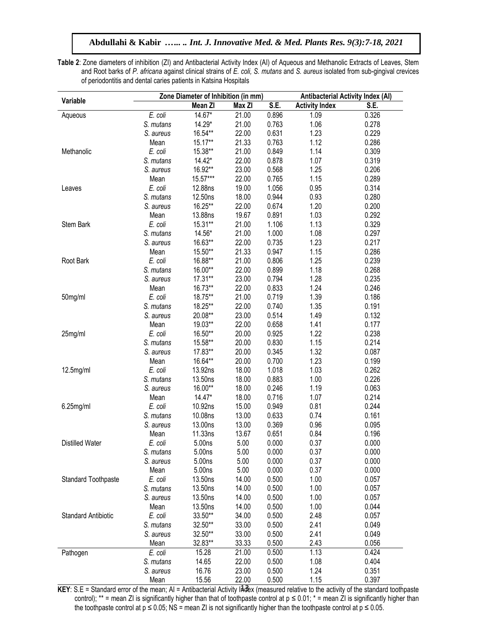**Table 2**: Zone diameters of inhibition (ZI) and Antibacterial Activity Index (AI) of Aqueous and Methanolic Extracts of Leaves, Stem and Root barks of *P. africana* against clinical strains of *E. coli, S. mutans* and *S. aureus* isolated from sub-gingival crevices of periodontitis and dental caries patients in Katsina Hospitals

|                            | Zone Diameter of Inhibition (in mm) |          |        |       | <b>Antibacterial Activity Index (AI)</b> |       |  |
|----------------------------|-------------------------------------|----------|--------|-------|------------------------------------------|-------|--|
| Variable                   |                                     | Mean ZI  | Max ZI | S.E.  | <b>Activity Index</b>                    | S.E.  |  |
| Aqueous                    | E. coli                             | 14.67*   | 21.00  | 0.896 | 1.09                                     | 0.326 |  |
|                            | S. mutans                           | 14.29*   | 21.00  | 0.763 | 1.06                                     | 0.278 |  |
|                            | S. aureus                           | 16.54**  | 22.00  | 0.631 | 1.23                                     | 0.229 |  |
|                            | Mean                                | 15.17**  | 21.33  | 0.763 | 1.12                                     | 0.286 |  |
| Methanolic                 | E. coli                             | 15.38**  | 21.00  | 0.849 | 1.14                                     | 0.309 |  |
|                            | S. mutans                           | $14.42*$ | 22.00  | 0.878 | 1.07                                     | 0.319 |  |
|                            | S. aureus                           | 16.92**  | 23.00  | 0.568 | 1.25                                     | 0.206 |  |
|                            | Mean                                | 15.57*** | 22.00  | 0.765 | 1.15                                     | 0.289 |  |
| Leaves                     | E. coli                             | 12.88ns  | 19.00  | 1.056 | 0.95                                     | 0.314 |  |
|                            | S. mutans                           | 12.50ns  | 18.00  | 0.944 | 0.93                                     | 0.280 |  |
|                            | S. aureus                           | 16.25**  | 22.00  | 0.674 | 1.20                                     | 0.200 |  |
|                            | Mean                                | 13.88ns  | 19.67  | 0.891 | 1.03                                     | 0.292 |  |
| Stem Bark                  | E. coli                             | 15.31**  | 21.00  | 1.106 | 1.13                                     | 0.329 |  |
|                            | S. mutans                           | 14.56*   | 21.00  | 1.000 | 1.08                                     | 0.297 |  |
|                            | S. aureus                           | 16.63**  | 22.00  | 0.735 | 1.23                                     | 0.217 |  |
|                            | Mean                                | 15.50**  | 21.33  | 0.947 | 1.15                                     | 0.286 |  |
| Root Bark                  | E. coli                             | 16.88**  | 21.00  | 0.806 | 1.25                                     | 0.239 |  |
|                            | S. mutans                           | 16.00**  | 22.00  | 0.899 | 1.18                                     | 0.268 |  |
|                            | S. aureus                           | 17.31**  | 23.00  | 0.794 | 1.28                                     | 0.235 |  |
|                            | Mean                                | 16.73**  | 22.00  | 0.833 | 1.24                                     | 0.246 |  |
| 50mg/ml                    | E. coli                             | 18.75**  | 21.00  | 0.719 | 1.39                                     | 0.186 |  |
|                            | S. mutans                           | 18.25**  | 22.00  | 0.740 | 1.35                                     | 0.191 |  |
|                            | S. aureus                           | 20.08**  | 23.00  | 0.514 | 1.49                                     | 0.132 |  |
|                            | Mean                                | 19.03**  | 22.00  | 0.658 | 1.41                                     | 0.177 |  |
| 25mg/ml                    | E. coli                             | 16.50**  | 20.00  | 0.925 | 1.22                                     | 0.238 |  |
|                            | S. mutans                           | 15.58**  | 20.00  | 0.830 | 1.15                                     | 0.214 |  |
|                            | S. aureus                           | 17.83**  | 20.00  | 0.345 | 1.32                                     | 0.087 |  |
|                            | Mean                                | 16.64**  | 20.00  | 0.700 | 1.23                                     | 0.199 |  |
| 12.5mg/ml                  | E. coli                             | 13.92ns  | 18.00  | 1.018 | 1.03                                     | 0.262 |  |
|                            | S. mutans                           | 13.50ns  | 18.00  | 0.883 | 1.00                                     | 0.226 |  |
|                            | S. aureus                           | 16.00**  | 18.00  | 0.246 | 1.19                                     | 0.063 |  |
|                            | Mean                                | 14.47*   | 18.00  | 0.716 | 1.07                                     | 0.214 |  |
| $6.25$ mg/ml               | E. coli                             | 10.92ns  | 15.00  | 0.949 | 0.81                                     | 0.244 |  |
|                            | S. mutans                           | 10.08ns  | 13.00  | 0.633 | 0.74                                     | 0.161 |  |
|                            | S. aureus                           | 13.00ns  | 13.00  | 0.369 | 0.96                                     | 0.095 |  |
|                            | Mean                                | 11.33ns  | 13.67  | 0.651 | 0.84                                     | 0.196 |  |
| <b>Distilled Water</b>     | E. coli                             | 5.00ns   | 5.00   | 0.000 | 0.37                                     | 0.000 |  |
|                            | S. mutans                           | 5.00ns   | 5.00   | 0.000 | 0.37                                     | 0.000 |  |
|                            | S. aureus                           | 5.00ns   | 5.00   | 0.000 | 0.37                                     | 0.000 |  |
|                            | Mean                                | 5.00ns   | 5.00   | 0.000 | 0.37                                     | 0.000 |  |
| Standard Toothpaste        | E. coli                             | 13.50ns  | 14.00  | 0.500 | 1.00                                     | 0.057 |  |
|                            | S. mutans                           | 13.50ns  | 14.00  | 0.500 | 1.00                                     | 0.057 |  |
|                            | S. aureus                           | 13.50ns  | 14.00  | 0.500 | 1.00                                     | 0.057 |  |
|                            | Mean                                | 13.50ns  | 14.00  | 0.500 | 1.00                                     | 0.044 |  |
| <b>Standard Antibiotic</b> | E. coli                             | 33.50**  | 34.00  | 0.500 | 2.48                                     | 0.057 |  |
|                            | S. mutans                           | 32.50**  | 33.00  | 0.500 | 2.41                                     | 0.049 |  |
|                            | S. aureus                           | 32.50**  | 33.00  | 0.500 | 2.41                                     | 0.049 |  |
|                            | Mean                                | 32.83**  | 33.33  | 0.500 | 2.43                                     | 0.056 |  |
| Pathogen                   | E. coli                             | 15.28    | 21.00  | 0.500 | 1.13                                     | 0.424 |  |
|                            | S. mutans                           | 14.65    | 22.00  | 0.500 | 1.08                                     | 0.404 |  |
|                            | S. aureus                           | 16.76    | 23.00  | 0.500 | 1.24                                     | 0.351 |  |
|                            | Mean                                | 15.56    | 22.00  | 0.500 | 1.15                                     | 0.397 |  |

KEY: S.E = Standard error of the mean; AI = Antibacterial Activity Index (measured relative to the activity of the standard toothpaste control); \*\* = mean ZI is significantly higher than that of toothpaste control at p ≤ 0.01; \* = mean ZI is significantly higher than the toothpaste control at p ≤ 0.05; NS = mean ZI is not significantly higher than the toothpaste control at p ≤ 0.05.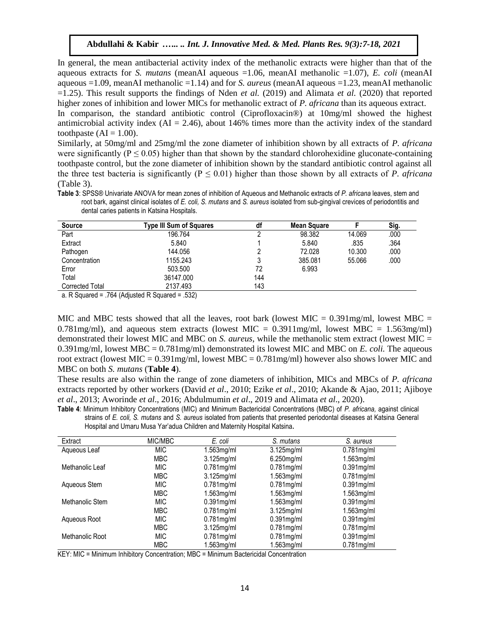In general, the mean antibacterial activity index of the methanolic extracts were higher than that of the aqueous extracts for *S. mutans* (meanAI aqueous =1.06, meanAI methanolic =1.07), *E. coli* (meanAI aqueous =1.09, meanAI methanolic =1.14) and for *S. aureus* (meanAI aqueous =1.23, meanAI methanolic =1.25). This result supports the findings of Nden *et al.* (2019) and Alimata *et al.* (2020) that reported higher zones of inhibition and lower MICs for methanolic extract of *P. africana* than its aqueous extract.

In comparison, the standard antibiotic control (Ciprofloxacin®) at 10mg/ml showed the highest antimicrobial activity index  $(AI = 2.46)$ , about 146% times more than the activity index of the standard toothpaste  $(AI = 1.00)$ .

Similarly, at 50mg/ml and 25mg/ml the zone diameter of inhibition shown by all extracts of *P. africana* were significantly ( $P \le 0.05$ ) higher than that shown by the standard chlorohexidine gluconate-containing toothpaste control, but the zone diameter of inhibition shown by the standard antibiotic control against all the three test bacteria is significantly ( $P \le 0.01$ ) higher than those shown by all extracts of *P. africana* (Table 3).

**Table 3**: SPSS® Univariate ANOVA for mean zones of inhibition of Aqueous and Methanolic extracts of *P. africana* leaves, stem and root bark, against clinical isolates of *E. coli, S. mutans* and *S. aureus* isolated from sub-gingival crevices of periodontitis and dental caries patients in Katsina Hospitals.

| <b>Source</b>   | Type III Sum of Squares | df  | Mean Square |        | Sig. |
|-----------------|-------------------------|-----|-------------|--------|------|
| Part            | 196.764                 |     | 98.382      | 14.069 | .000 |
| Extract         | 5.840                   |     | 5.840       | .835   | .364 |
| Pathogen        | 144.056                 |     | 72.028      | 10.300 | .000 |
| Concentration   | 1155.243                |     | 385.081     | 55.066 | .000 |
| Error           | 503.500                 | 72  | 6.993       |        |      |
| Total           | 36147.000               | 144 |             |        |      |
| Corrected Total | 2137.493                | 143 |             |        |      |

a. R Squared = .764 (Adjusted R Squared = .532)

MIC and MBC tests showed that all the leaves, root bark (lowest MIC =  $0.391$ mg/ml, lowest MBC =  $0.781$ mg/ml), and aqueous stem extracts (lowest MIC = 0.3911mg/ml, lowest MBC = 1.563mg/ml) demonstrated their lowest MIC and MBC on *S. aureus*, while the methanolic stem extract (lowest MIC = 0.391mg/ml, lowest MBC = 0.781mg/ml) demonstrated its lowest MIC and MBC on *E. coli.* The aqueous root extract (lowest MIC =  $0.391$ mg/ml, lowest MBC =  $0.781$ mg/ml) however also shows lower MIC and MBC on both *S. mutans* (**Table 4**).

These results are also within the range of zone diameters of inhibition, MICs and MBCs of *P. africana* extracts reported by other workers (David *et al*., 2010; Ezike *et al*., 2010; Akande & Ajao, 2011; Ajiboye *et al*., 2013; Aworinde *et al*., 2016; Abdulmumin *et al*., 2019 and Alimata *et al*., 2020).

**Table 4**: Minimum Inhibitory Concentrations (MIC) and Minimum Bactericidal Concentrations (MBC) of *P. africana,* against clinical strains of *E. coli, S. mutans* and *S. aureus* isolated from patients that presented periodontal diseases at Katsina General Hospital and Umaru Musa Yar'adua Children and Maternity Hospital Katsina**.**

| Extract         | MIC/MBC    | E. coli       | S. mutans     | S. aureus     |
|-----------------|------------|---------------|---------------|---------------|
| Aqueous Leaf    | MIC        | 1.563mg/ml    | $3.125$ mg/ml | $0.781$ mg/ml |
|                 | <b>MBC</b> | $3.125$ mg/ml | $6.250$ mg/ml | $1.563$ mg/ml |
| Methanolic Leaf | <b>MIC</b> | $0.781$ mg/ml | $0.781$ mg/ml | $0.391$ mg/ml |
|                 | <b>MBC</b> | $3.125$ mg/ml | $1.563$ mg/ml | $0.781$ mg/ml |
| Aqueous Stem    | <b>MIC</b> | $0.781$ mg/ml | $0.781$ mg/ml | $0.391$ mg/ml |
|                 | <b>MBC</b> | $1.563$ mg/ml | $1.563$ mg/ml | $1.563$ mg/ml |
| Methanolic Stem | MIC        | $0.391$ mg/ml | $1.563$ mg/ml | $0.391$ mg/ml |
|                 | <b>MBC</b> | $0.781$ mg/ml | $3.125$ mg/ml | $1.563$ mg/ml |
| Aqueous Root    | <b>MIC</b> | $0.781$ mg/ml | $0.391$ mg/ml | $0.391$ mg/ml |
|                 | <b>MBC</b> | $3.125$ mg/ml | $0.781$ mg/ml | $0.781$ mg/ml |
| Methanolic Root | <b>MIC</b> | $0.781$ mg/ml | $0.781$ mg/ml | $0.391$ mg/ml |
|                 | <b>MBC</b> | 1.563mg/ml    | $1.563$ mg/ml | $0.781$ mg/ml |

KEY: MIC = Minimum Inhibitory Concentration; MBC = Minimum Bactericidal Concentration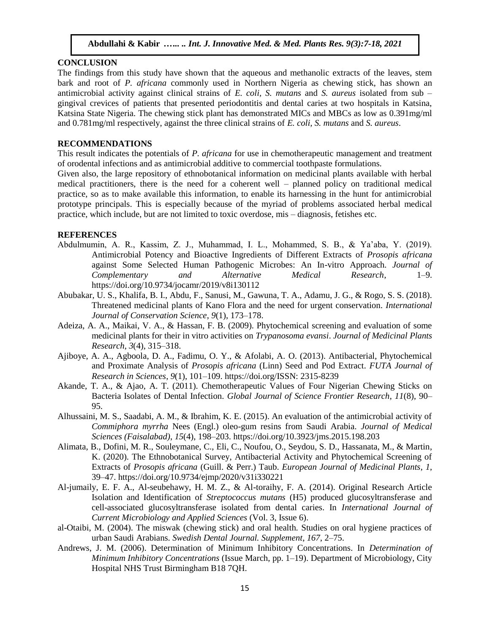## **CONCLUSION**

The findings from this study have shown that the aqueous and methanolic extracts of the leaves, stem bark and root of *P. africana* commonly used in Northern Nigeria as chewing stick, has shown an antimicrobial activity against clinical strains of *E. coli, S. mutans* and *S. aureus* isolated from sub – gingival crevices of patients that presented periodontitis and dental caries at two hospitals in Katsina, Katsina State Nigeria. The chewing stick plant has demonstrated MICs and MBCs as low as 0.391mg/ml and 0.781mg/ml respectively, against the three clinical strains of *E. coli, S. mutans* and *S. aureus*.

#### **RECOMMENDATIONS**

This result indicates the potentials of *P. africana* for use in chemotherapeutic management and treatment of orodental infections and as antimicrobial additive to commercial toothpaste formulations.

Given also, the large repository of ethnobotanical information on medicinal plants available with herbal medical practitioners, there is the need for a coherent well – planned policy on traditional medical practice, so as to make available this information, to enable its harnessing in the hunt for antimicrobial prototype principals. This is especially because of the myriad of problems associated herbal medical practice, which include, but are not limited to toxic overdose, mis – diagnosis, fetishes etc.

#### **REFERENCES**

- Abdulmumin, A. R., Kassim, Z. J., Muhammad, I. L., Mohammed, S. B., & Ya'aba, Y. (2019). Antimicrobial Potency and Bioactive Ingredients of Different Extracts of *Prosopis africana* against Some Selected Human Pathogenic Microbes: An In-vitro Approach. *Journal of Complementary and Alternative Medical Research*, 1–9. https://doi.org/10.9734/jocamr/2019/v8i130112
- Abubakar, U. S., Khalifa, B. I., Abdu, F., Sanusi, M., Gawuna, T. A., Adamu, J. G., & Rogo, S. S. (2018). Threatened medicinal plants of Kano Flora and the need for urgent conservation. *International Journal of Conservation Science*, *9*(1), 173–178.
- Adeiza, A. A., Maikai, V. A., & Hassan, F. B. (2009). Phytochemical screening and evaluation of some medicinal plants for their in vitro activities on *Trypanosoma evansi*. *Journal of Medicinal Plants Research*, *3*(4), 315–318.
- Ajiboye, A. A., Agboola, D. A., Fadimu, O. Y., & Afolabi, A. O. (2013). Antibacterial, Phytochemical and Proximate Analysis of *Prosopis africana* (Linn) Seed and Pod Extract. *FUTA Journal of Research in Sciences*, *9*(1), 101–109. https://doi.org/ISSN: 2315-8239
- Akande, T. A., & Ajao, A. T. (2011). Chemotherapeutic Values of Four Nigerian Chewing Sticks on Bacteria Isolates of Dental Infection. *Global Journal of Science Frontier Research*, *11*(8), 90– 95.
- Alhussaini, M. S., Saadabi, A. M., & Ibrahim, K. E. (2015). An evaluation of the antimicrobial activity of *Commiphora myrrha* Nees (Engl.) oleo-gum resins from Saudi Arabia. *Journal of Medical Sciences (Faisalabad)*, *15*(4), 198–203. https://doi.org/10.3923/jms.2015.198.203
- Alimata, B., Dofini, M. R., Souleymane, C., Eli, C., Noufou, O., Seydou, S. D., Hassanata, M., & Martin, K. (2020). The Ethnobotanical Survey, Antibacterial Activity and Phytochemical Screening of Extracts of *Prosopis africana* (Guill. & Perr.) Taub. *European Journal of Medicinal Plants*, *1*, 39–47. https://doi.org/10.9734/ejmp/2020/v31i330221
- Al-jumaily, E. F. A., Al-seubehawy, H. M. Z., & Al-toraihy, F. A. (2014). Original Research Article Isolation and Identification of *Streptococcus mutans* (H5) produced glucosyltransferase and cell-associated glucosyltransferase isolated from dental caries. In *International Journal of Current Microbiology and Applied Sciences* (Vol. 3, Issue 6).
- al-Otaibi, M. (2004). The miswak (chewing stick) and oral health. Studies on oral hygiene practices of urban Saudi Arabians. *Swedish Dental Journal. Supplement*, *167*, 2–75.
- Andrews, J. M. (2006). Determination of Minimum Inhibitory Concentrations. In *Determination of Minimum Inhibitory Concentrations* (Issue March, pp. 1–19). Department of Microbiology, City Hospital NHS Trust Birmingham B18 7QH.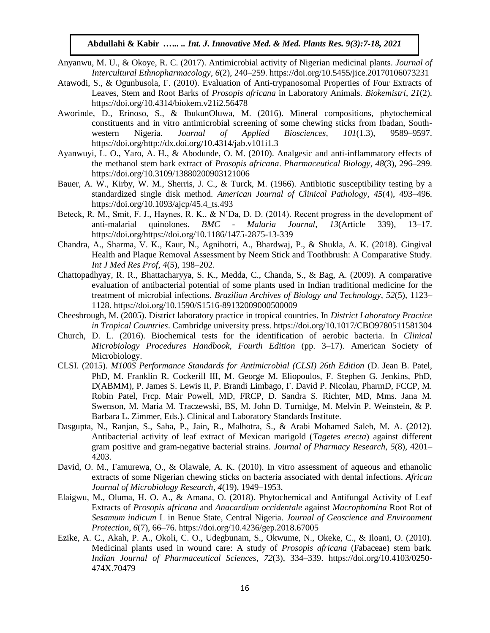- Anyanwu, M. U., & Okoye, R. C. (2017). Antimicrobial activity of Nigerian medicinal plants. *Journal of Intercultural Ethnopharmacology*, *6*(2), 240–259. https://doi.org/10.5455/jice.20170106073231
- Atawodi, S., & Ogunbusola, F. (2010). Evaluation of Anti-trypanosomal Properties of Four Extracts of Leaves, Stem and Root Barks of *Prosopis africana* in Laboratory Animals. *Biokemistri*, *21*(2). https://doi.org/10.4314/biokem.v21i2.56478
- Aworinde, D., Erinoso, S., & IbukunOluwa, M. (2016). Mineral compositions, phytochemical constituents and in vitro antimicrobial screening of some chewing sticks from Ibadan, Southwestern Nigeria. *Journal of Applied Biosciences*, *101*(1.3), 9589–9597. https://doi.org/http://dx.doi.org/10.4314/jab.v101i1.3
- Ayanwuyi, L. O., Yaro, A. H., & Abodunde, O. M. (2010). Analgesic and anti-inflammatory effects of the methanol stem bark extract of *Prosopis africana*. *Pharmaceutical Biology*, *48*(3), 296–299. https://doi.org/10.3109/13880200903121006
- Bauer, A. W., Kirby, W. M., Sherris, J. C., & Turck, M. (1966). Antibiotic susceptibility testing by a standardized single disk method. *American Journal of Clinical Pathology*, *45*(4), 493–496. https://doi.org/10.1093/ajcp/45.4\_ts.493
- Beteck, R. M., Smit, F. J., Haynes, R. K., & N'Da, D. D. (2014). Recent progress in the development of anti-malarial quinolones. *BMC - Malaria Journal*, *13*(Article 339), 13–17. https://doi.org/https://doi.org/10.1186/1475-2875-13-339
- Chandra, A., Sharma, V. K., Kaur, N., Agnihotri, A., Bhardwaj, P., & Shukla, A. K. (2018). Gingival Health and Plaque Removal Assessment by Neem Stick and Toothbrush: A Comparative Study. *Int J Med Res Prof*, *4*(5), 198–202.
- Chattopadhyay, R. R., Bhattacharyya, S. K., Medda, C., Chanda, S., & Bag, A. (2009). A comparative evaluation of antibacterial potential of some plants used in Indian traditional medicine for the treatment of microbial infections. *Brazilian Archives of Biology and Technology*, *52*(5), 1123– 1128. https://doi.org/10.1590/S1516-89132009000500009
- Cheesbrough, M. (2005). District laboratory practice in tropical countries. In *District Laboratory Practice in Tropical Countries*. Cambridge university press. https://doi.org/10.1017/CBO9780511581304
- Church, D. L. (2016). Biochemical tests for the identification of aerobic bacteria. In *Clinical Microbiology Procedures Handbook, Fourth Edition* (pp. 3–17). American Society of Microbiology.
- CLSI. (2015). *M100S Performance Standards for Antimicrobial (CLSI) 26th Edition* (D. Jean B. Patel, PhD, M. Franklin R. Cockerill III, M. George M. Eliopoulos, F. Stephen G. Jenkins, PhD, D(ABMM), P. James S. Lewis II, P. Brandi Limbago, F. David P. Nicolau, PharmD, FCCP, M. Robin Patel, Frcp. Mair Powell, MD, FRCP, D. Sandra S. Richter, MD, Mms. Jana M. Swenson, M. Maria M. Traczewski, BS, M. John D. Turnidge, M. Melvin P. Weinstein, & P. Barbara L. Zimmer, Eds.). Clinical and Laboratory Standards Institute.
- Dasgupta, N., Ranjan, S., Saha, P., Jain, R., Malhotra, S., & Arabi Mohamed Saleh, M. A. (2012). Antibacterial activity of leaf extract of Mexican marigold (*Tagetes erecta*) against different gram positive and gram-negative bacterial strains. *Journal of Pharmacy Research*, *5*(8), 4201– 4203.
- David, O. M., Famurewa, O., & Olawale, A. K. (2010). In vitro assessment of aqueous and ethanolic extracts of some Nigerian chewing sticks on bacteria associated with dental infections. *African Journal of Microbiology Research*, *4*(19), 1949–1953.
- Elaigwu, M., Oluma, H. O. A., & Amana, O. (2018). Phytochemical and Antifungal Activity of Leaf Extracts of *Prosopis africana* and *Anacardium occidentale* against *Macrophomina* Root Rot of *Sesamum indicum* L in Benue State, Central Nigeria. *Journal of Geoscience and Environment Protection*, *6*(7), 66–76. https://doi.org/10.4236/gep.2018.67005
- Ezike, A. C., Akah, P. A., Okoli, C. O., Udegbunam, S., Okwume, N., Okeke, C., & Iloani, O. (2010). Medicinal plants used in wound care: A study of *Prosopis africana* (Fabaceae) stem bark. *Indian Journal of Pharmaceutical Sciences*, *72*(3), 334–339. https://doi.org/10.4103/0250- 474X.70479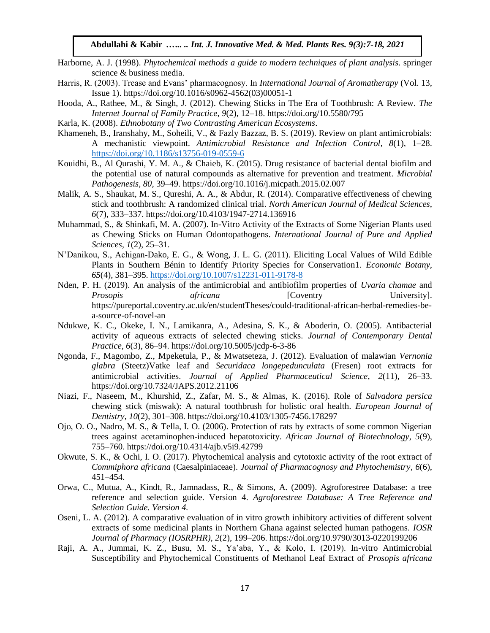- Harborne, A. J. (1998). *Phytochemical methods a guide to modern techniques of plant analysis*. springer science & business media.
- Harris, R. (2003). Trease and Evans' pharmacognosy. In *International Journal of Aromatherapy* (Vol. 13, Issue 1). https://doi.org/10.1016/s0962-4562(03)00051-1
- Hooda, A., Rathee, M., & Singh, J. (2012). Chewing Sticks in The Era of Toothbrush: A Review. *The Internet Journal of Family Practice*, *9*(2), 12–18. https://doi.org/10.5580/795
- Karla, K. (2008). *Ethnobotany of Two Contrasting American Ecosystems*.
- Khameneh, B., Iranshahy, M., Soheili, V., & Fazly Bazzaz, B. S. (2019). Review on plant antimicrobials: A mechanistic viewpoint. *Antimicrobial Resistance and Infection Control*, *8*(1), 1–28. <https://doi.org/10.1186/s13756-019-0559-6>
- Kouidhi, B., Al Qurashi, Y. M. A., & Chaieb, K. (2015). Drug resistance of bacterial dental biofilm and the potential use of natural compounds as alternative for prevention and treatment. *Microbial Pathogenesis*, *80*, 39–49. https://doi.org/10.1016/j.micpath.2015.02.007
- Malik, A. S., Shaukat, M. S., Qureshi, A. A., & Abdur, R. (2014). Comparative effectiveness of chewing stick and toothbrush: A randomized clinical trial. *North American Journal of Medical Sciences*, *6*(7), 333–337. https://doi.org/10.4103/1947-2714.136916
- Muhammad, S., & Shinkafi, M. A. (2007). In-Vitro Activity of the Extracts of Some Nigerian Plants used as Chewing Sticks on Human Odontopathogens. *International Journal of Pure and Applied Sciences*, *1*(2), 25–31.
- N'Danikou, S., Achigan-Dako, E. G., & Wong, J. L. G. (2011). Eliciting Local Values of Wild Edible Plants in Southern Bénin to Identify Priority Species for Conservation1. *Economic Botany*, *65*(4), 381–395.<https://doi.org/10.1007/s12231-011-9178-8>
- Nden, P. H. (2019). An analysis of the antimicrobial and antibiofilm properties of *Uvaria chamae* and *Prosopis africana* [Coventry University]. https://pureportal.coventry.ac.uk/en/studentTheses/could-traditional-african-herbal-remedies-bea-source-of-novel-an
- Ndukwe, K. C., Okeke, I. N., Lamikanra, A., Adesina, S. K., & Aboderin, O. (2005). Antibacterial activity of aqueous extracts of selected chewing sticks. *Journal of Contemporary Dental Practice*, *6*(3), 86–94. https://doi.org/10.5005/jcdp-6-3-86
- Ngonda, F., Magombo, Z., Mpeketula, P., & Mwatseteza, J. (2012). Evaluation of malawian *Vernonia glabra* (Steetz)Vatke leaf and *Securidaca longepedunculata* (Fresen) root extracts for antimicrobial activities. *Journal of Applied Pharmaceutical Science*, *2*(11), 26–33. https://doi.org/10.7324/JAPS.2012.21106
- Niazi, F., Naseem, M., Khurshid, Z., Zafar, M. S., & Almas, K. (2016). Role of *Salvadora persica* chewing stick (miswak): A natural toothbrush for holistic oral health. *European Journal of Dentistry*, *10*(2), 301–308. https://doi.org/10.4103/1305-7456.178297
- Ojo, O. O., Nadro, M. S., & Tella, I. O. (2006). Protection of rats by extracts of some common Nigerian trees against acetaminophen-induced hepatotoxicity. *African Journal of Biotechnology*, *5*(9), 755–760. https://doi.org/10.4314/ajb.v5i9.42799
- Okwute, S. K., & Ochi, I. O. (2017). Phytochemical analysis and cytotoxic activity of the root extract of *Commiphora africana* (Caesalpiniaceae). *Journal of Pharmacognosy and Phytochemistry*, *6*(6), 451–454.
- Orwa, C., Mutua, A., Kindt, R., Jamnadass, R., & Simons, A. (2009). Agroforestree Database: a tree reference and selection guide. Version 4. *Agroforestree Database: A Tree Reference and Selection Guide. Version 4.*
- Oseni, L. A. (2012). A comparative evaluation of in vitro growth inhibitory activities of different solvent extracts of some medicinal plants in Northern Ghana against selected human pathogens. *IOSR Journal of Pharmacy (IOSRPHR)*, *2*(2), 199–206. https://doi.org/10.9790/3013-0220199206
- Raji, A. A., Jummai, K. Z., Busu, M. S., Ya'aba, Y., & Kolo, I. (2019). In-vitro Antimicrobial Susceptibility and Phytochemical Constituents of Methanol Leaf Extract of *Prosopis africana*